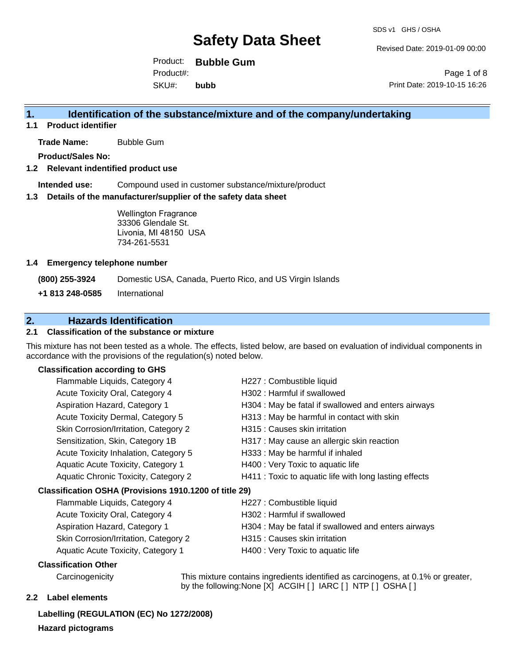Revised Date: 2019-01-09 00:00

Product: **Bubble Gum** SKU#: Product#: **bubb**

Page 1 of 8 Print Date: 2019-10-15 16:26

## **1. Identification of the substance/mixture and of the company/undertaking**

**1.1 Product identifier**

**Trade Name:** Bubble Gum

**Product/Sales No:**

#### **1.2 Relevant indentified product use**

**Intended use:** Compound used in customer substance/mixture/product

#### **1.3 Details of the manufacturer/supplier of the safety data sheet**

Wellington Fragrance 33306 Glendale St. Livonia, MI 48150 USA 734-261-5531

#### **1.4 Emergency telephone number**

**(800) 255-3924** Domestic USA, Canada, Puerto Rico, and US Virgin Islands

Skin Corrosion/Irritation, Category 2 **H315**: Causes skin irritation Aquatic Acute Toxicity, Category 1 **H400** : Very Toxic to aquatic life

**+1 813 248-0585** International

## **2. Hazards Identification**

## **2.1 Classification of the substance or mixture**

This mixture has not been tested as a whole. The effects, listed below, are based on evaluation of individual components in accordance with the provisions of the regulation(s) noted below.

#### **Classification according to GHS**

| Flammable Liquids, Category 4                          | H227 : Combustible liquid                              |
|--------------------------------------------------------|--------------------------------------------------------|
| Acute Toxicity Oral, Category 4                        | H302: Harmful if swallowed                             |
| Aspiration Hazard, Category 1                          | H304 : May be fatal if swallowed and enters airways    |
| Acute Toxicity Dermal, Category 5                      | H313 : May be harmful in contact with skin             |
| Skin Corrosion/Irritation, Category 2                  | H315 : Causes skin irritation                          |
| Sensitization, Skin, Category 1B                       | H317 : May cause an allergic skin reaction             |
| Acute Toxicity Inhalation, Category 5                  | H333: May be harmful if inhaled                        |
| Aquatic Acute Toxicity, Category 1                     | H400 : Very Toxic to aquatic life                      |
| Aquatic Chronic Toxicity, Category 2                   | H411 : Toxic to aquatic life with long lasting effects |
| Classification OSHA (Provisions 1910.1200 of title 29) |                                                        |
| Flammable Liquids, Category 4                          | H227 : Combustible liquid                              |
| Acute Toxicity Oral, Category 4                        | H302: Harmful if swallowed                             |
| <b>Aspiration Hazard, Category 1</b>                   | H304 : May be fatal if swallowed and enters airways    |

## **Classification Other**

Carcinogenicity This mixture contains ingredients identified as carcinogens, at 0.1% or greater, by the following:None [X] ACGIH [ ] IARC [ ] NTP [ ] OSHA [ ]

#### **2.2 Label elements**

**Labelling (REGULATION (EC) No 1272/2008) Hazard pictograms**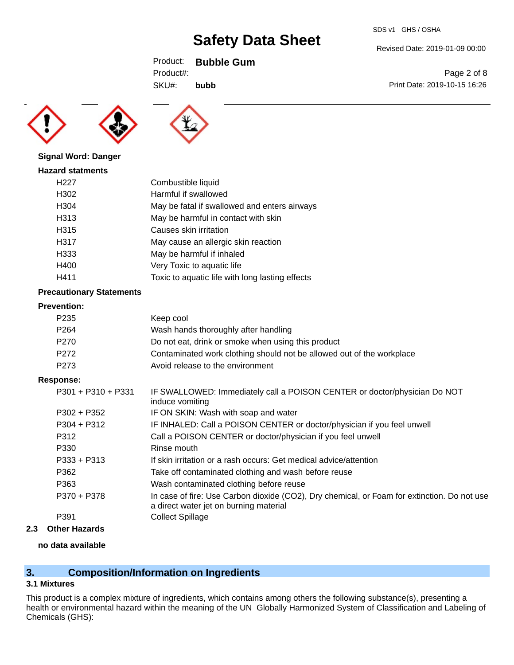SDS v1 GHS / OSHA

Revised Date: 2019-01-09 00:00

Print Date: 2019-10-15 16:26

Page 2 of 8

Product: **Bubble Gum**

**bubb**





SKU#: Product#:

#### **Signal Word: Danger**

| <b>Hazard statments</b> |                                                 |
|-------------------------|-------------------------------------------------|
| H <sub>22</sub> 7       | Combustible liquid                              |
| H302                    | Harmful if swallowed                            |
| H304                    | May be fatal if swallowed and enters airways    |
| H313                    | May be harmful in contact with skin             |
| H315                    | Causes skin irritation                          |
| H317                    | May cause an allergic skin reaction             |
| H333                    | May be harmful if inhaled                       |
| H400                    | Very Toxic to aquatic life                      |
| H411                    | Toxic to aquatic life with long lasting effects |

### **Precautionary Statements**

#### **Prevention:**

| P <sub>235</sub> | Keep cool                                                             |
|------------------|-----------------------------------------------------------------------|
| P <sub>264</sub> | Wash hands thoroughly after handling                                  |
| P <sub>270</sub> | Do not eat, drink or smoke when using this product                    |
| P <sub>272</sub> | Contaminated work clothing should not be allowed out of the workplace |
| P273             | Avoid release to the environment                                      |

#### **Response:**

| $P301 + P310 + P331$ | IF SWALLOWED: Immediately call a POISON CENTER or doctor/physician Do NOT<br>induce vomiting                                          |
|----------------------|---------------------------------------------------------------------------------------------------------------------------------------|
| $P302 + P352$        | IF ON SKIN: Wash with soap and water                                                                                                  |
| $P304 + P312$        | IF INHALED: Call a POISON CENTER or doctor/physician if you feel unwell                                                               |
| P312                 | Call a POISON CENTER or doctor/physician if you feel unwell                                                                           |
| P330                 | Rinse mouth                                                                                                                           |
| $P333 + P313$        | If skin irritation or a rash occurs: Get medical advice/attention                                                                     |
| P362                 | Take off contaminated clothing and wash before reuse                                                                                  |
| P363                 | Wash contaminated clothing before reuse                                                                                               |
| P370 + P378          | In case of fire: Use Carbon dioxide (CO2), Dry chemical, or Foam for extinction. Do not use<br>a direct water jet on burning material |
| P391                 | <b>Collect Spillage</b>                                                                                                               |

## **2.3 Other Hazards**

## **no data available**

# **3. Composition/Information on Ingredients**

### **3.1 Mixtures**

This product is a complex mixture of ingredients, which contains among others the following substance(s), presenting a health or environmental hazard within the meaning of the UN Globally Harmonized System of Classification and Labeling of Chemicals (GHS):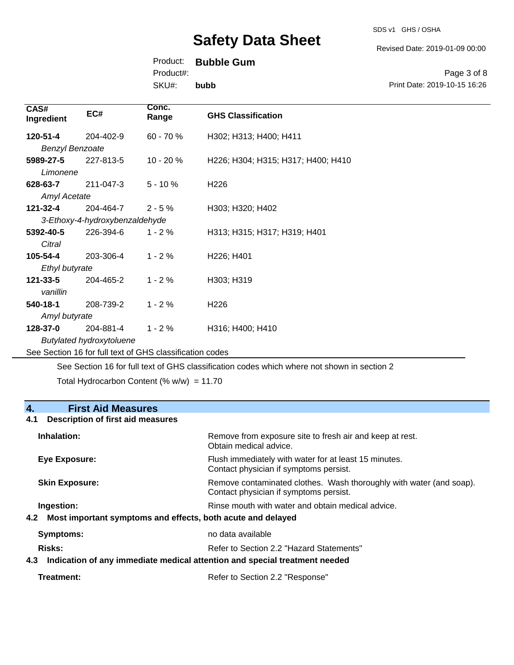SDS v1 GHS / OSHA

Revised Date: 2019-01-09 00:00

## Product: **Bubble Gum**

Product#:

SKU#: **bubb**

Page 3 of 8 Print Date: 2019-10-15 16:26

| CAS#<br>Ingredient                                       | EC#       | Conc.<br>Range | <b>GHS Classification</b>           |
|----------------------------------------------------------|-----------|----------------|-------------------------------------|
| 120-51-4                                                 | 204-402-9 | $60 - 70%$     | H302; H313; H400; H411              |
| <b>Benzyl Benzoate</b>                                   |           |                |                                     |
| 5989-27-5                                                | 227-813-5 | 10 - 20 %      | H226; H304; H315; H317; H400; H410  |
| Limonene                                                 |           |                |                                     |
| 628-63-7                                                 | 211-047-3 | $5 - 10 \%$    | H <sub>226</sub>                    |
| <b>Amyl Acetate</b>                                      |           |                |                                     |
| 121-32-4                                                 | 204-464-7 | $2 - 5%$       | H303; H320; H402                    |
| 3-Ethoxy-4-hydroxybenzaldehyde                           |           |                |                                     |
| 5392-40-5                                                | 226-394-6 | $1 - 2%$       | H313; H315; H317; H319; H401        |
| Citral                                                   |           |                |                                     |
| 105-54-4                                                 | 203-306-4 | $1 - 2%$       | H <sub>226</sub> ; H <sub>401</sub> |
| Ethyl butyrate                                           |           |                |                                     |
| 121-33-5                                                 | 204-465-2 | $1 - 2%$       | H303; H319                          |
| vanillin                                                 |           |                |                                     |
| 540-18-1                                                 | 208-739-2 | $1 - 2%$       | H <sub>226</sub>                    |
| Amyl butyrate                                            |           |                |                                     |
| 128-37-0                                                 | 204-881-4 | $1 - 2%$       | H316; H400; H410                    |
| <b>Butylated hydroxytoluene</b>                          |           |                |                                     |
| See Section 16 for full text of GHS classification codes |           |                |                                     |

See Section 16 for full text of GHS classification codes which where not shown in section 2

Total Hydrocarbon Content (%  $w/w$ ) = 11.70

# **4. First Aid Measures 4.1 Description of first aid measures Inhalation:** Remove from exposure site to fresh air and keep at rest. Obtain medical advice. **Eye Exposure:** Flush immediately with water for at least 15 minutes. Contact physician if symptoms persist. **Skin Exposure: Remove contaminated clothes. Wash thoroughly with water (and soap).** Remove contaminated clothes. Wash thoroughly with water (and soap). Contact physician if symptoms persist. **Ingestion: Ingestion: Rinse mouth with water and obtain medical advice. 4.2 Most important symptoms and effects, both acute and delayed Symptoms:** no data available **Risks:** Risks: Refer to Section 2.2 "Hazard Statements" **4.3 Indication of any immediate medical attention and special treatment needed**

| Treatment: | Refer to Section 2.2 "Response" |
|------------|---------------------------------|
|------------|---------------------------------|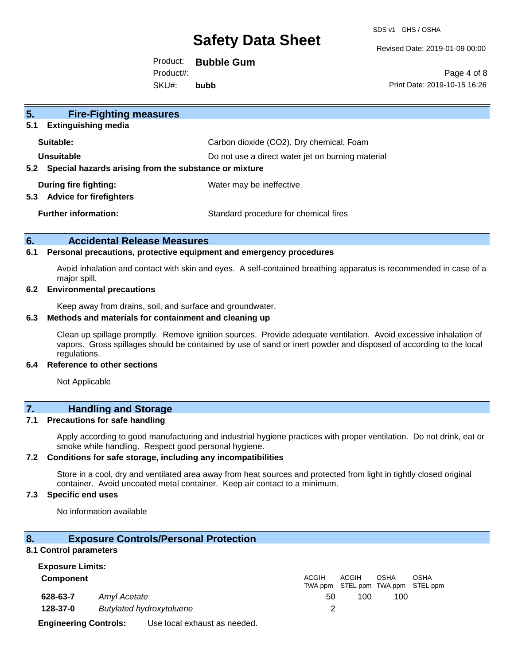SDS v1 GHS / OSHA

Revised Date: 2019-01-09 00:00

Product: **Bubble Gum** SKU#: Product#: **bubb**

Page 4 of 8 Print Date: 2019-10-15 16:26

| 5 <sub>1</sub><br><b>Fire-Fighting measures</b>                |                                                   |
|----------------------------------------------------------------|---------------------------------------------------|
| <b>Extinguishing media</b><br>5.1                              |                                                   |
| Suitable:                                                      | Carbon dioxide (CO2), Dry chemical, Foam          |
| Unsuitable                                                     | Do not use a direct water jet on burning material |
| Special hazards arising from the substance or mixture<br>5.2   |                                                   |
| During fire fighting:<br><b>Advice for firefighters</b><br>5.3 | Water may be ineffective                          |
| <b>Further information:</b>                                    | Standard procedure for chemical fires             |

#### **6. Accidental Release Measures**

#### **6.1 Personal precautions, protective equipment and emergency procedures**

Avoid inhalation and contact with skin and eyes. A self-contained breathing apparatus is recommended in case of a major spill.

#### **6.2 Environmental precautions**

Keep away from drains, soil, and surface and groundwater.

#### **6.3 Methods and materials for containment and cleaning up**

Clean up spillage promptly. Remove ignition sources. Provide adequate ventilation. Avoid excessive inhalation of vapors. Gross spillages should be contained by use of sand or inert powder and disposed of according to the local regulations.

### **6.4 Reference to other sections**

Not Applicable

# **7. Handling and Storage**

#### **7.1 Precautions for safe handling**

Apply according to good manufacturing and industrial hygiene practices with proper ventilation. Do not drink, eat or smoke while handling. Respect good personal hygiene.

### **7.2 Conditions for safe storage, including any incompatibilities**

Store in a cool, dry and ventilated area away from heat sources and protected from light in tightly closed original container. Avoid uncoated metal container. Keep air contact to a minimum.

## **7.3 Specific end uses**

No information available

### **8. Exposure Controls/Personal Protection**

#### **8.1 Control parameters**

| <b>Exposure Limits:</b>                                      |  |    |              |                                            |             |             |
|--------------------------------------------------------------|--|----|--------------|--------------------------------------------|-------------|-------------|
| <b>Component</b>                                             |  |    | <b>ACGIH</b> | ACGIH<br>TWA ppm STEL ppm TWA ppm STEL ppm | <b>OSHA</b> | <b>OSHA</b> |
| 628-63-7<br>Amyl Acetate                                     |  | 50 | 100          | 100                                        |             |             |
| 128-37-0<br><b>Butylated hydroxytoluene</b>                  |  |    |              |                                            |             |             |
| <b>Engineering Controls:</b><br>Use local exhaust as needed. |  |    |              |                                            |             |             |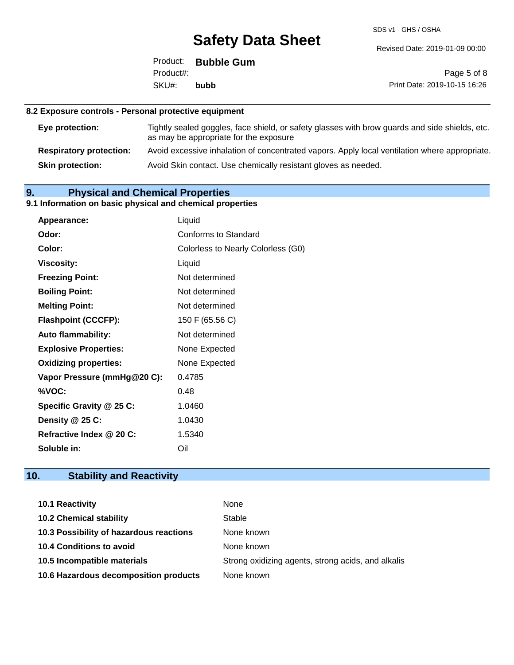SDS v1 GHS / OSHA

Revised Date: 2019-01-09 00:00

|           | Product: Bubble Gum |                |
|-----------|---------------------|----------------|
| Product#: |                     |                |
| SKU#:     | bubb                | <b>Print D</b> |

Page 5 of 8 Date: 2019-10-15 16:26

# **8.2 Exposure controls - Personal protective equipment**

| Eye protection:                | Tightly sealed goggles, face shield, or safety glasses with brow guards and side shields, etc.<br>as may be appropriate for the exposure |
|--------------------------------|------------------------------------------------------------------------------------------------------------------------------------------|
| <b>Respiratory protection:</b> | Avoid excessive inhalation of concentrated vapors. Apply local ventilation where appropriate.                                            |
| <b>Skin protection:</b>        | Avoid Skin contact. Use chemically resistant gloves as needed.                                                                           |

# **9. Physical and Chemical Properties**

## **9.1 Information on basic physical and chemical properties**

| Appearance:                  | Liquid                             |
|------------------------------|------------------------------------|
| Odor:                        | Conforms to Standard               |
| Color:                       | Colorless to Nearly Colorless (G0) |
| <b>Viscosity:</b>            | Liquid                             |
| <b>Freezing Point:</b>       | Not determined                     |
| <b>Boiling Point:</b>        | Not determined                     |
| <b>Melting Point:</b>        | Not determined                     |
| <b>Flashpoint (CCCFP):</b>   | 150 F (65.56 C)                    |
| <b>Auto flammability:</b>    | Not determined                     |
| <b>Explosive Properties:</b> | None Expected                      |
| <b>Oxidizing properties:</b> | None Expected                      |
| Vapor Pressure (mmHg@20 C):  | 0.4785                             |
| %VOC:                        | 0.48                               |
| Specific Gravity @ 25 C:     | 1.0460                             |
| Density @ 25 C:              | 1.0430                             |
| Refractive Index @ 20 C:     | 1.5340                             |
| Soluble in:                  | Oil                                |

# **10. Stability and Reactivity**

| <b>10.1 Reactivity</b>                  | None                                               |
|-----------------------------------------|----------------------------------------------------|
| <b>10.2 Chemical stability</b>          | Stable                                             |
| 10.3 Possibility of hazardous reactions | None known                                         |
| <b>10.4 Conditions to avoid</b>         | None known                                         |
| 10.5 Incompatible materials             | Strong oxidizing agents, strong acids, and alkalis |
| 10.6 Hazardous decomposition products   | None known                                         |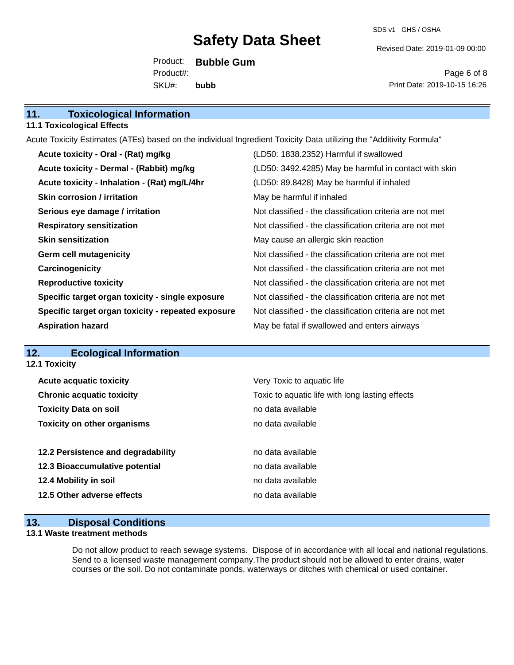SDS v1 GHS / OSHA

Revised Date: 2019-01-09 00:00

Product: **Bubble Gum** SKU#: Product#: **bubb**

Page 6 of 8 Print Date: 2019-10-15 16:26

| 11.<br><b>Toxicological Information</b> |  |
|-----------------------------------------|--|
|-----------------------------------------|--|

#### **11.1 Toxicological Effects**

Acute Toxicity Estimates (ATEs) based on the individual Ingredient Toxicity Data utilizing the "Additivity Formula"

| Acute toxicity - Oral - (Rat) mg/kg                | (LD50: 1838.2352) Harmful if swallowed                   |
|----------------------------------------------------|----------------------------------------------------------|
| Acute toxicity - Dermal - (Rabbit) mg/kg           | (LD50: 3492.4285) May be harmful in contact with skin    |
| Acute toxicity - Inhalation - (Rat) mg/L/4hr       | (LD50: 89.8428) May be harmful if inhaled                |
| <b>Skin corrosion / irritation</b>                 | May be harmful if inhaled                                |
| Serious eye damage / irritation                    | Not classified - the classification criteria are not met |
| <b>Respiratory sensitization</b>                   | Not classified - the classification criteria are not met |
| <b>Skin sensitization</b>                          | May cause an allergic skin reaction                      |
| <b>Germ cell mutagenicity</b>                      | Not classified - the classification criteria are not met |
| Carcinogenicity                                    | Not classified - the classification criteria are not met |
| <b>Reproductive toxicity</b>                       | Not classified - the classification criteria are not met |
| Specific target organ toxicity - single exposure   | Not classified - the classification criteria are not met |
| Specific target organ toxicity - repeated exposure | Not classified - the classification criteria are not met |
| <b>Aspiration hazard</b>                           | May be fatal if swallowed and enters airways             |

## **12. Ecological Information**

**12.1 Toxicity**

| <b>Acute acquatic toxicity</b>     | Very Toxic to aquatic life                      |
|------------------------------------|-------------------------------------------------|
| <b>Chronic acquatic toxicity</b>   | Toxic to aquatic life with long lasting effects |
| <b>Toxicity Data on soil</b>       | no data available                               |
| <b>Toxicity on other organisms</b> | no data available                               |
|                                    |                                                 |
| 12.2 Persistence and degradability | no data available                               |
| 12.3 Bioaccumulative potential     | no data available                               |
| 12.4 Mobility in soil              | no data available                               |
|                                    |                                                 |
| 12.5 Other adverse effects         | no data available                               |

## **13. Disposal Conditions**

#### **13.1 Waste treatment methods**

Do not allow product to reach sewage systems. Dispose of in accordance with all local and national regulations. Send to a licensed waste management company.The product should not be allowed to enter drains, water courses or the soil. Do not contaminate ponds, waterways or ditches with chemical or used container.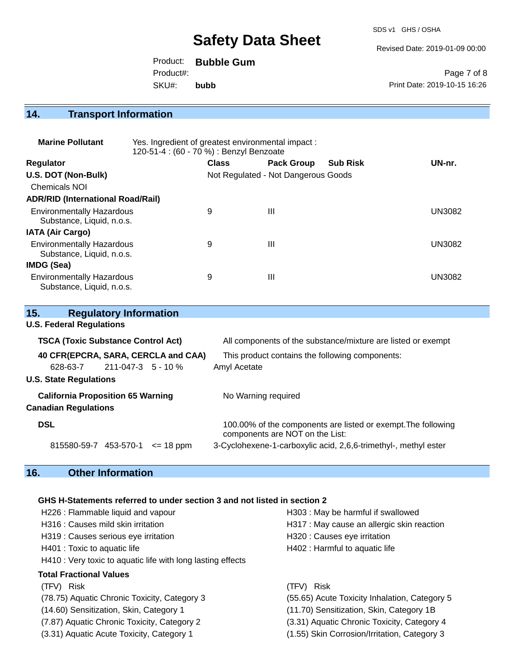SDS v1 GHS / OSHA

Revised Date: 2019-01-09 00:00

Product: **Bubble Gum** SKU#: Product#: **bubb**

Page 7 of 8 Print Date: 2019-10-15 16:26

## **14. Transport Information**

| <b>Marine Pollutant</b>                                       | Yes. Ingredient of greatest environmental impact:<br>120-51-4 : (60 - 70 %) : Benzyl Benzoate |              |                                     |                 |               |
|---------------------------------------------------------------|-----------------------------------------------------------------------------------------------|--------------|-------------------------------------|-----------------|---------------|
| <b>Regulator</b>                                              |                                                                                               | <b>Class</b> | <b>Pack Group</b>                   | <b>Sub Risk</b> | UN-nr.        |
| U.S. DOT (Non-Bulk)                                           |                                                                                               |              | Not Regulated - Not Dangerous Goods |                 |               |
| <b>Chemicals NOI</b>                                          |                                                                                               |              |                                     |                 |               |
| <b>ADR/RID (International Road/Rail)</b>                      |                                                                                               |              |                                     |                 |               |
| <b>Environmentally Hazardous</b>                              |                                                                                               | 9            | Ш                                   |                 | <b>UN3082</b> |
| Substance, Liquid, n.o.s.                                     |                                                                                               |              |                                     |                 |               |
| <b>IATA (Air Cargo)</b>                                       |                                                                                               |              |                                     |                 |               |
| <b>Environmentally Hazardous</b><br>Substance, Liquid, n.o.s. |                                                                                               | 9            | Ш                                   |                 | <b>UN3082</b> |
| IMDG (Sea)                                                    |                                                                                               |              |                                     |                 |               |
| <b>Environmentally Hazardous</b><br>Substance, Liquid, n.o.s. |                                                                                               | 9            | $\mathbf{III}$                      |                 | <b>UN3082</b> |

| 15.<br><b>Regulatory Information</b>      |                                                                                                  |
|-------------------------------------------|--------------------------------------------------------------------------------------------------|
| <b>U.S. Federal Regulations</b>           |                                                                                                  |
| <b>TSCA (Toxic Substance Control Act)</b> | All components of the substance/mixture are listed or exempt                                     |
| 40 CFR(EPCRA, SARA, CERCLA and CAA)       | This product contains the following components:                                                  |
| 211-047-3 5 - 10 %<br>628-63-7            | Amyl Acetate                                                                                     |
| <b>U.S. State Regulations</b>             |                                                                                                  |
| <b>California Proposition 65 Warning</b>  | No Warning required                                                                              |
| <b>Canadian Regulations</b>               |                                                                                                  |
| <b>DSL</b>                                | 100.00% of the components are listed or exempt. The following<br>components are NOT on the List: |
| 815580-59-7 453-570-1<br>$\leq$ 18 ppm    | 3-Cyclohexene-1-carboxylic acid, 2,6,6-trimethyl-, methyl ester                                  |

# **16. Other Information**

### **GHS H-Statements referred to under section 3 and not listed in section 2**

| H226 : Flammable liquid and vapour                          | H303 : May be harmful if swallowed            |
|-------------------------------------------------------------|-----------------------------------------------|
| H316 : Causes mild skin irritation                          | H317 : May cause an allergic skin reaction    |
| H319 : Causes serious eye irritation                        | H320 : Causes eye irritation                  |
| H401 : Toxic to aquatic life                                | H402 : Harmful to aquatic life                |
| H410 : Very toxic to aquatic life with long lasting effects |                                               |
| <b>Total Fractional Values</b>                              |                                               |
| (TFV) Risk                                                  | <b>Risk</b><br>(TFV)                          |
| (78.75) Aquatic Chronic Toxicity, Category 3                | (55.65) Acute Toxicity Inhalation, Category 5 |
| (14.60) Sensitization, Skin, Category 1                     | (11.70) Sensitization, Skin, Category 1B      |
| (7.87) Aquatic Chronic Toxicity, Category 2                 | (3.31) Aquatic Chronic Toxicity, Category 4   |

- (3.31) Aquatic Acute Toxicity, Category 1 (1.55) Skin Corrosion/Irritation, Category 3
- -